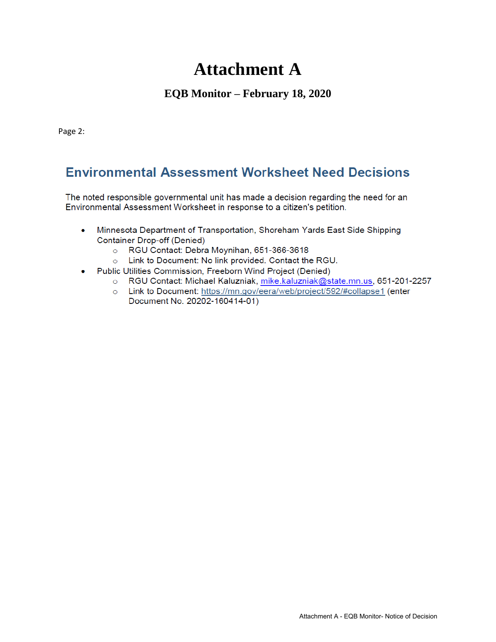# **Attachment A**

#### **EQB Monitor – February 18, 2020**

Page 2:

### **Environmental Assessment Worksheet Need Decisions**

The noted responsible governmental unit has made a decision regarding the need for an Environmental Assessment Worksheet in response to a citizen's petition.

- Minnesota Department of Transportation, Shoreham Yards East Side Shipping  $\bullet$ **Container Drop-off (Denied)** 
	- RGU Contact: Debra Moynihan, 651-366-3618
	- o Link to Document: No link provided. Contact the RGU.
- Public Utilities Commission, Freeborn Wind Project (Denied)
	- o RGU Contact: Michael Kaluzniak, mike.kaluzniak@state.mn.us, 651-201-2257
	- o Link to Document: https://mn.gov/eera/web/project/592/#collapse1 (enter Document No. 20202-160414-01)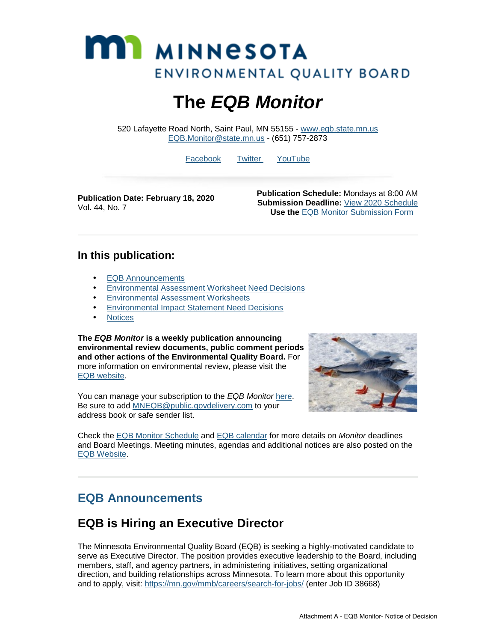

# **The** *EQB Monitor*

520 Lafayette Road North, Saint Paul, MN 55155 - [www.eqb.state.mn.us](http://www.eqb.state.mn.us/) [EQB.Monitor@state.mn.us](mailto:EQB.Monitor@state.mn.us) - (651) 757-2873

[Facebook](https://gcc01.safelinks.protection.outlook.com/?url=https%3A%2F%2Fwww.facebook.com%2FMnEQB%2F&data=02%7C01%7Celizabeth.tegdesch%40state.mn.us%7Cd84cbf0f645d48dd20b508d7b47ae371%7Ceb14b04624c445198f26b89c2159828c%7C0%7C0%7C637176312214079337&sdata=GWfiM8%2FB8JdbKKO0di0LU8%2BZpLnI6bt6%2Fkk8ELujKaU%3D&reserved=0) [Twitter](https://gcc01.safelinks.protection.outlook.com/?url=https%3A%2F%2Ftwitter.com%2FMnEQB&data=02%7C01%7Celizabeth.tegdesch%40state.mn.us%7Cd84cbf0f645d48dd20b508d7b47ae371%7Ceb14b04624c445198f26b89c2159828c%7C0%7C1%7C637176312214089295&sdata=7N8KGN9QsHSKzk6sd4Tv%2F0jrNwvqWwTfcb6W7HChBQg%3D&reserved=0) [YouTube](https://gcc01.safelinks.protection.outlook.com/?url=https%3A%2F%2Fwww.youtube.com%2Fchannel%2FUCPZ0CJtH_f8tChBAYn6YTMg&data=02%7C01%7Celizabeth.tegdesch%40state.mn.us%7Cd84cbf0f645d48dd20b508d7b47ae371%7Ceb14b04624c445198f26b89c2159828c%7C0%7C0%7C637176312214089295&sdata=nYres2%2FCuRWkzEfrFGkFeKg1GRiZWVtvwe2BTjmtCzo%3D&reserved=0)

**Publication Date: February 18, 2020** Vol. 44, No. 7

**Publication Schedule:** Mondays at 8:00 AM **Submission Deadline:** [View 2020 Schedule](https://www.eqb.state.mn.us/eqb-monitor) **Use the** [EQB Monitor Submission Form](https://survey.mn.gov/s.asp?k=157806333082) 

#### **In this publication:**

- [EQB Announcements](#page-1-0)
- [Environmental Assessment Worksheet Need Decisions](#page-2-0)  $\mathbf{r}$
- [Environmental Assessment Worksheets](#page-2-1)
- [Environmental Impact Statement Need Decisions](#page-3-0)
- **[Notices](#page-3-1)**

**The** *EQB Monitor* **is a weekly publication announcing environmental review documents, public comment periods and other actions of the Environmental Quality Board.** For more information on environmental review, please visit the [EQB website.](https://www.eqb.state.mn.us/content/environmental-review-program)

You can manage your subscription to the *EQB Monitor* [here.](https://public.govdelivery.com/accounts/MNEQB/subscriber/new?preferences=true) Be sure to add [MNEQB@public.govdelivery.com](mailto:MNEQB@public.govdelivery.com) to your address book or safe sender list.



Check the [EQB Monitor Schedule](https://www.eqb.state.mn.us/sites/default/files/documents/EQB%20Monitor%20Publication%20Calendar%20for%202020_1.pdf) and [EQB calendar](https://www.eqb.state.mn.us/calendar_EQB) for more details on *Monitor* deadlines and Board Meetings. Meeting minutes, agendas and additional notices are also posted on the [EQB Website.](https://www.eqb.state.mn.us/)

### <span id="page-1-0"></span>**EQB Announcements**

### **EQB is Hiring an Executive Director**

The Minnesota Environmental Quality Board (EQB) is seeking a highly-motivated candidate to serve as Executive Director. The position provides executive leadership to the Board, including members, staff, and agency partners, in administering initiatives, setting organizational direction, and building relationships across Minnesota. To learn more about this opportunity and to apply, visit:<https://mn.gov/mmb/careers/search-for-jobs/> (enter Job ID 38668)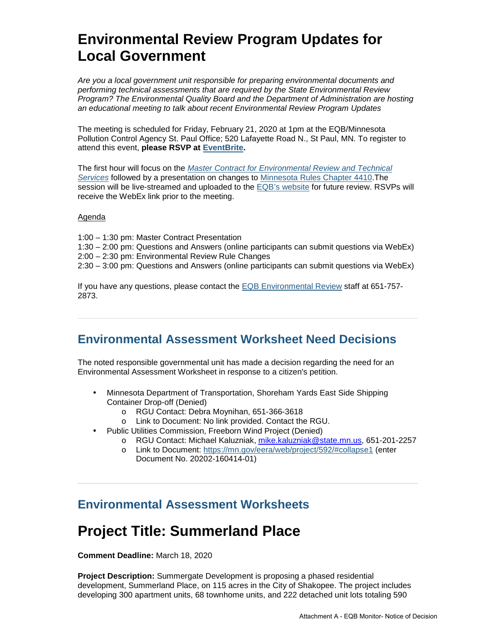## **Environmental Review Program Updates for Local Government**

*Are you a local government unit responsible for preparing environmental documents and performing technical assessments that are required by the State Environmental Review Program? The Environmental Quality Board and the Department of Administration are hosting an educational meeting to talk about recent Environmental Review Program Updates*

The meeting is scheduled for Friday, February 21, 2020 at 1pm at the EQB/Minnesota Pollution Control Agency St. Paul Office; 520 Lafayette Road N., St Paul, MN. To register to attend this event, **please RSVP at [EventBrite.](https://gcc01.safelinks.protection.outlook.com/?url=https%3A%2F%2Fwww.eventbrite.com%2Fe%2Fenvironmental-review-program-updates-tickets-85643625389%3Faff%3Daffiliate1&data=02%7C01%7Celizabeth.tegdesch%40state.mn.us%7Cd84cbf0f645d48dd20b508d7b47ae371%7Ceb14b04624c445198f26b89c2159828c%7C0%7C0%7C637176312214099250&sdata=r44TZ%2Bvkh4lpGoFfId4xXsFfdEwbApNXlvs30ofwVOk%3D&reserved=0)**

The first hour will focus on the *[Master Contract for Environmental Review and Technical](https://www.eqb.state.mn.us/ERMasterContract)  [Services](https://www.eqb.state.mn.us/ERMasterContract)* followed by a presentation on changes to [Minnesota Rules Chapter 4410.](https://www.eqb.state.mn.us/sites/default/files/documents/ar4157st.pdf)The session will be live-streamed and uploaded to the [EQB's website](https://www.eqb.state.mn.us/) for future review. RSVPs will receive the WebEx link prior to the meeting.

#### Agenda

1:00 – 1:30 pm: Master Contract Presentation 1:30 – 2:00 pm: Questions and Answers (online participants can submit questions via WebEx) 2:00 – 2:30 pm: Environmental Review Rule Changes 2:30 – 3:00 pm: Questions and Answers (online participants can submit questions via WebEx)

If you have any questions, please contact the [EQB Environmental Review](mailto:Env.Review@state.mn.us) staff at 651-757- 2873.

#### <span id="page-2-0"></span>**Environmental Assessment Worksheet Need Decisions**

The noted responsible governmental unit has made a decision regarding the need for an Environmental Assessment Worksheet in response to a citizen's petition.

- Minnesota Department of Transportation, Shoreham Yards East Side Shipping Container Drop-off (Denied)
	- o RGU Contact: Debra Moynihan, 651-366-3618
	- o Link to Document: No link provided. Contact the RGU.
- Public Utilities Commission, Freeborn Wind Project (Denied)
	- o RGU Contact: Michael Kaluzniak, [mike.kaluzniak@state.mn.us,](mailto:mike.kaluzniak@state.mn.us) 651-201-2257
	- o Link to Document:<https://mn.gov/eera/web/project/592/#collapse1> (enter Document No. 20202-160414-01)

### <span id="page-2-1"></span>**Environmental Assessment Worksheets**

## **Project Title: Summerland Place**

**Comment Deadline:** March 18, 2020

**Project Description:** Summergate Development is proposing a phased residential development, Summerland Place, on 115 acres in the City of Shakopee. The project includes developing 300 apartment units, 68 townhome units, and 222 detached unit lots totaling 590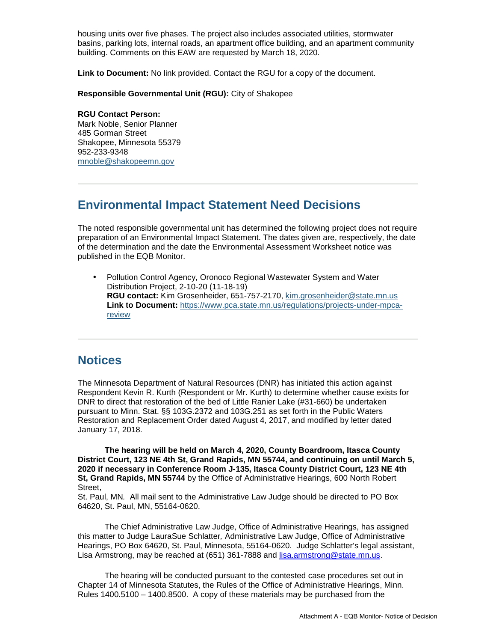housing units over five phases. The project also includes associated utilities, stormwater basins, parking lots, internal roads, an apartment office building, and an apartment community building. Comments on this EAW are requested by March 18, 2020.

**Link to Document:** No link provided. Contact the RGU for a copy of the document.

#### **Responsible Governmental Unit (RGU):** City of Shakopee

#### **RGU Contact Person:**

Mark Noble, Senior Planner 485 Gorman Street Shakopee, Minnesota 55379 952-233-9348 [mnoble@shakopeemn.gov](mailto:mnoble@shakopeemn.gov)

### <span id="page-3-0"></span>**Environmental Impact Statement Need Decisions**

The noted responsible governmental unit has determined the following project does not require preparation of an Environmental Impact Statement. The dates given are, respectively, the date of the determination and the date the Environmental Assessment Worksheet notice was published in the EQB Monitor.

Pollution Control Agency, Oronoco Regional Wastewater System and Water Distribution Project, 2-10-20 (11-18-19) **RGU contact:** Kim Grosenheider, 651-757-2170, [kim.grosenheider@state.mn.us](mailto:kim.grosenheider@state.mn.us) **Link to Document:** [https://www.pca.state.mn.us/regulations/projects-under-mpca](https://www.pca.state.mn.us/regulations/projects-under-mpca-review)[review](https://www.pca.state.mn.us/regulations/projects-under-mpca-review) 

#### <span id="page-3-1"></span>**Notices**

The Minnesota Department of Natural Resources (DNR) has initiated this action against Respondent Kevin R. Kurth (Respondent or Mr. Kurth) to determine whether cause exists for DNR to direct that restoration of the bed of Little Ranier Lake (#31-660) be undertaken pursuant to Minn. Stat. §§ 103G.2372 and 103G.251 as set forth in the Public Waters Restoration and Replacement Order dated August 4, 2017, and modified by letter dated January 17, 2018.

 **The hearing will be held on March 4, 2020, County Boardroom, Itasca County District Court, 123 NE 4th St, Grand Rapids, MN 55744, and continuing on until March 5, 2020 if necessary in Conference Room J-135, Itasca County District Court, 123 NE 4th St, Grand Rapids, MN 55744** by the Office of Administrative Hearings, 600 North Robert Street,

St. Paul, MN*.* All mail sent to the Administrative Law Judge should be directed to PO Box 64620, St. Paul, MN, 55164-0620.

The Chief Administrative Law Judge, Office of Administrative Hearings, has assigned this matter to Judge LauraSue Schlatter*,* Administrative Law Judge, Office of Administrative Hearings, PO Box 64620, St. Paul, Minnesota, 55164-0620. Judge Schlatter's legal assistant, Lisa Armstrong, may be reached at (651) 361-7888 and [lisa.armstrong@state.mn.us.](mailto:lisa.armstrong@state.mn.us)

The hearing will be conducted pursuant to the contested case procedures set out in Chapter 14 of Minnesota Statutes, the Rules of the Office of Administrative Hearings, Minn. Rules 1400.5100 – 1400.8500. A copy of these materials may be purchased from the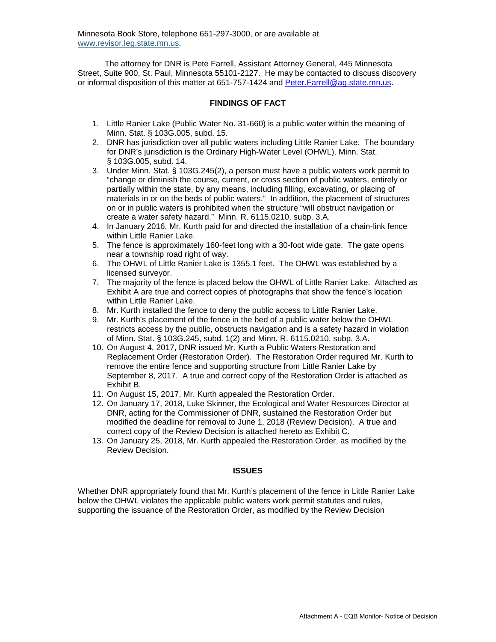The attorney for DNR is Pete Farrell, Assistant Attorney General, 445 Minnesota Street, Suite 900, St. Paul, Minnesota 55101-2127. He may be contacted to discuss discovery or informal disposition of this matter at 651-757-1424 and [Peter.Farrell@ag.state.mn.us.](mailto:Peter.Farrell@ag.state.mn.us)

#### **FINDINGS OF FACT**

- 1. Little Ranier Lake (Public Water No. 31-660) is a public water within the meaning of Minn. Stat. § 103G.005, subd. 15.
- 2. DNR has jurisdiction over all public waters including Little Ranier Lake. The boundary for DNR's jurisdiction is the Ordinary High-Water Level (OHWL). Minn. Stat. § 103G.005, subd. 14.
- 3. Under Minn. Stat. § 103G.245(2), a person must have a public waters work permit to "change or diminish the course, current, or cross section of public waters, entirely or partially within the state, by any means, including filling, excavating, or placing of materials in or on the beds of public waters." In addition, the placement of structures on or in public waters is prohibited when the structure "will obstruct navigation or create a water safety hazard." Minn. R. 6115.0210, subp. 3.A.
- 4. In January 2016, Mr. Kurth paid for and directed the installation of a chain-link fence within Little Ranier Lake.
- 5. The fence is approximately 160-feet long with a 30-foot wide gate. The gate opens near a township road right of way.
- 6. The OHWL of Little Ranier Lake is 1355.1 feet. The OHWL was established by a licensed surveyor.
- 7. The majority of the fence is placed below the OHWL of Little Ranier Lake. Attached as Exhibit A are true and correct copies of photographs that show the fence's location within Little Ranier Lake.
- 8. Mr. Kurth installed the fence to deny the public access to Little Ranier Lake.
- 9. Mr. Kurth's placement of the fence in the bed of a public water below the OHWL restricts access by the public, obstructs navigation and is a safety hazard in violation of Minn. Stat. § 103G.245, subd. 1(2) and Minn. R. 6115.0210, subp. 3.A.
- 10. On August 4, 2017, DNR issued Mr. Kurth a Public Waters Restoration and Replacement Order (Restoration Order). The Restoration Order required Mr. Kurth to remove the entire fence and supporting structure from Little Ranier Lake by September 8, 2017. A true and correct copy of the Restoration Order is attached as Exhibit B.
- 11. On August 15, 2017, Mr. Kurth appealed the Restoration Order.
- 12. On January 17, 2018, Luke Skinner, the Ecological and Water Resources Director at DNR, acting for the Commissioner of DNR, sustained the Restoration Order but modified the deadline for removal to June 1, 2018 (Review Decision). A true and correct copy of the Review Decision is attached hereto as Exhibit C.
- 13. On January 25, 2018, Mr. Kurth appealed the Restoration Order, as modified by the Review Decision.

#### **ISSUES**

Whether DNR appropriately found that Mr. Kurth's placement of the fence in Little Ranier Lake below the OHWL violates the applicable public waters work permit statutes and rules, supporting the issuance of the Restoration Order, as modified by the Review Decision